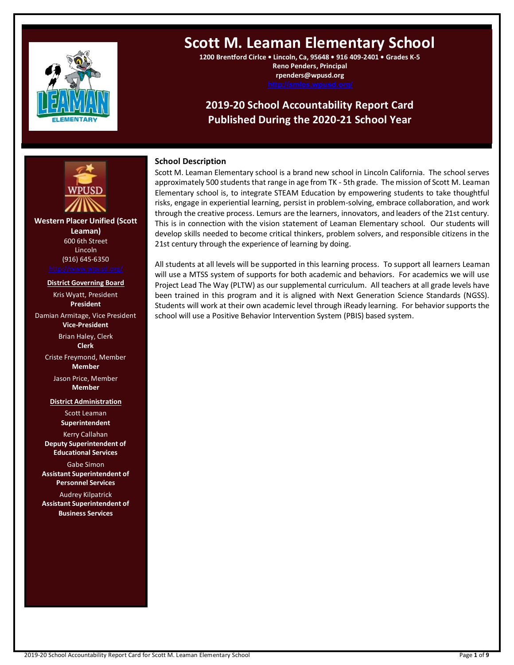

# **Scott M. Leaman Elementary School**

**1200 Brentford Cirlce • Lincoln, Ca, 95648 • 916 409-2401 • Grades K-5 Reno Penders, Principal rpenders@wpusd.org**

# **2019-20 School Accountability Report Card Published During the 2020-21 School Year**

# **School Description**

Scott M. Leaman Elementary school is a brand new school in Lincoln California. The school serves approximately 500 students that range in age from TK - 5th grade. The mission of Scott M. Leaman Elementary school is, to integrate STEAM Education by empowering students to take thoughtful risks, engage in experiential learning, persist in problem-solving, embrace collaboration, and work through the creative process. Lemurs are the learners, innovators, and leaders of the 21st century. This is in connection with the vision statement of Leaman Elementary school. Our students will develop skills needed to become critical thinkers, problem solvers, and responsible citizens in the 21st century through the experience of learning by doing.

All students at all levels will be supported in this learning process. To support all learners Leaman will use a MTSS system of supports for both academic and behaviors. For academics we will use Project Lead The Way (PLTW) as our supplemental curriculum. All teachers at all grade levels have been trained in this program and it is aligned with Next Generation Science Standards (NGSS). Students will work at their own academic level through iReady learning. For behavior supports the school will use a Positive Behavior Intervention System (PBIS) based system.

**Western Placer Unified (Scott Leaman)** 600 6th Street Lincoln (916) 645-6350 **---- ----**

### **District Governing Board**

Kris Wyatt, President **President** Damian Armitage, Vice President **Vice-President** Brian Haley, Clerk **Clerk**

Criste Freymond, Member **Member** Jason Price, Member

**Member**

**District Administration** Scott Leaman **Superintendent**

Kerry Callahan **Deputy Superintendent of Educational Services**

Gabe Simon **Assistant Superintendent of Personnel Services**

Audrey Kilpatrick **Assistant Superintendent of Business Services**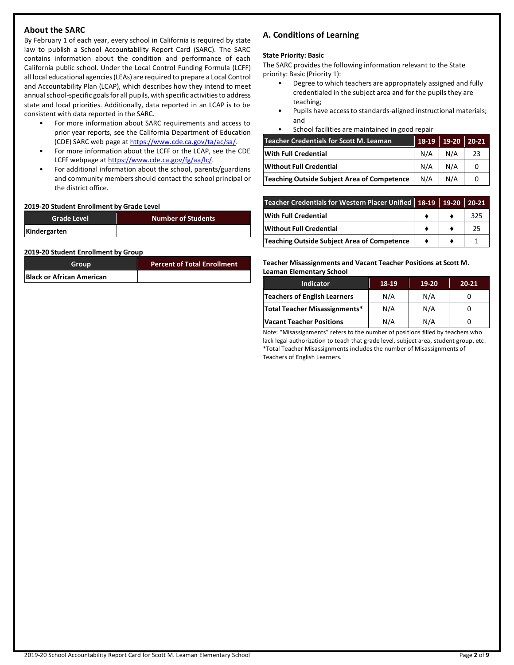# **About the SARC**

By February 1 of each year, every school in California is required by state law to publish a School Accountability Report Card (SARC). The SARC contains information about the condition and performance of each California public school. Under the Local Control Funding Formula (LCFF) all local educational agencies (LEAs) are required to prepare a Local Control and Accountability Plan (LCAP), which describes how they intend to meet annual school-specific goals for all pupils, with specific activities to address state and local priorities. Additionally, data reported in an LCAP is to be consistent with data reported in the SARC.

- For more information about SARC requirements and access to prior year reports, see the California Department of Education (CDE) SARC web page a[t https://www.cde.ca.gov/ta/ac/sa/.](https://www.cde.ca.gov/ta/ac/sa/)
- For more information about the LCFF or the LCAP, see the CDE LCFF webpage a[t https://www.cde.ca.gov/fg/aa/lc/.](https://www.cde.ca.gov/fg/aa/lc/)
- For additional information about the school, parents/guardians and community members should contact the school principal or the district office.

### **2019-20 Student Enrollment by Grade Level**

| <b>Grade Level</b> | <b>Number of Students</b> |
|--------------------|---------------------------|
| Kindergarten       |                           |

### **2019-20 Student Enrollment by Group**

| Group                            | <b>Percent of Total Enrollment</b> |
|----------------------------------|------------------------------------|
| <b>Black or African American</b> |                                    |

# **A. Conditions of Learning**

### **State Priority: Basic**

The SARC provides the following information relevant to the State priority: Basic (Priority 1):

- Degree to which teachers are appropriately assigned and fully credentialed in the subject area and for the pupils they are teaching;
- Pupils have access to standards-aligned instructional materials; and
- School facilities are maintained in good repair

| Teacher Credentials for Scott M. Leaman     | 18-19 | 19-20 | 20-21 |
|---------------------------------------------|-------|-------|-------|
| With Full Credential                        | N/A   | N/A   | 23    |
| Without Full Credential                     | N/A   | N/A   | 0     |
| Teaching Outside Subject Area of Competence | N/A   | N/A   |       |

| Teacher Credentials for Western Placer Unified 18-19 19-20 |  | 20-21 |
|------------------------------------------------------------|--|-------|
| <b>With Full Credential</b>                                |  | 325   |
| Without Full Credential                                    |  | 25    |
| <b>Teaching Outside Subject Area of Competence</b>         |  |       |

**Teacher Misassignments and Vacant Teacher Positions at Scott M. Leaman Elementary School**

| <b>Indicator</b>              | 18-19 | 19-20 | $20 - 21$ |
|-------------------------------|-------|-------|-----------|
| Teachers of English Learners  | N/A   | N/A   |           |
| Total Teacher Misassignments* | N/A   | N/A   |           |
| Vacant Teacher Positions      | N/A   | N/A   |           |

Note: "Misassignments" refers to the number of positions filled by teachers who lack legal authorization to teach that grade level, subject area, student group, etc. \*Total Teacher Misassignments includes the number of Misassignments of Teachers of English Learners.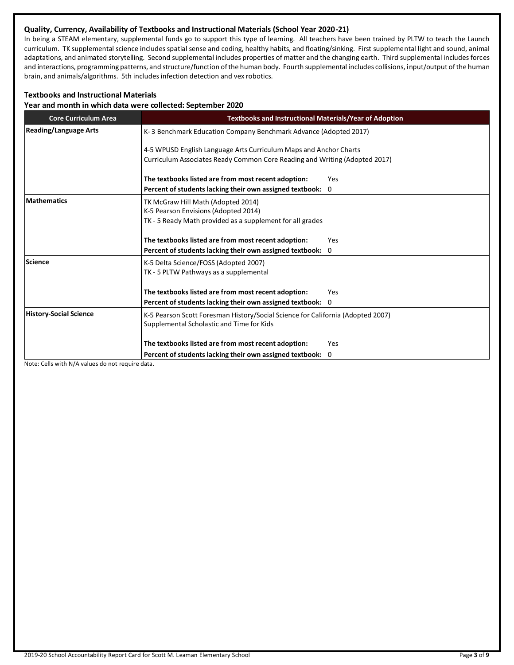# **Quality, Currency, Availability of Textbooks and Instructional Materials (School Year 2020-21)**

In being a STEAM elementary, supplemental funds go to support this type of learning. All teachers have been trained by PLTW to teach the Launch curriculum. TK supplemental science includes spatial sense and coding, healthy habits, and floating/sinking. First supplemental light and sound, animal adaptations, and animated storytelling. Second supplemental includes properties of matter and the changing earth. Third supplemental includes forces and interactions, programming patterns, and structure/function of the human body. Fourth supplemental includes collisions, input/output of the human brain, and animals/algorithms. 5th includes infection detection and vex robotics.

# **Textbooks and Instructional Materials**

**Year and month in which data were collected: September 2020**

| <b>Core Curriculum Area</b>                                                                                                                                   | <b>Textbooks and Instructional Materials/Year of Adoption</b>                                                                           |                                                                                                                                                 |  |  |  |  |
|---------------------------------------------------------------------------------------------------------------------------------------------------------------|-----------------------------------------------------------------------------------------------------------------------------------------|-------------------------------------------------------------------------------------------------------------------------------------------------|--|--|--|--|
| <b>Reading/Language Arts</b>                                                                                                                                  | K-3 Benchmark Education Company Benchmark Advance (Adopted 2017)                                                                        |                                                                                                                                                 |  |  |  |  |
|                                                                                                                                                               |                                                                                                                                         | 4-5 WPUSD English Language Arts Curriculum Maps and Anchor Charts<br>Curriculum Associates Ready Common Core Reading and Writing (Adopted 2017) |  |  |  |  |
|                                                                                                                                                               | The textbooks listed are from most recent adoption:                                                                                     | Yes                                                                                                                                             |  |  |  |  |
|                                                                                                                                                               | Percent of students lacking their own assigned textbook: 0                                                                              |                                                                                                                                                 |  |  |  |  |
| <b>Mathematics</b>                                                                                                                                            | TK McGraw Hill Math (Adopted 2014)<br>K-5 Pearson Envisions (Adopted 2014)<br>TK - 5 Ready Math provided as a supplement for all grades |                                                                                                                                                 |  |  |  |  |
|                                                                                                                                                               | The textbooks listed are from most recent adoption:                                                                                     | Yes                                                                                                                                             |  |  |  |  |
|                                                                                                                                                               | Percent of students lacking their own assigned textbook: 0                                                                              |                                                                                                                                                 |  |  |  |  |
| <b>Science</b>                                                                                                                                                | K-5 Delta Science/FOSS (Adopted 2007)<br>TK - 5 PLTW Pathways as a supplemental                                                         |                                                                                                                                                 |  |  |  |  |
|                                                                                                                                                               | The textbooks listed are from most recent adoption:                                                                                     | Yes                                                                                                                                             |  |  |  |  |
|                                                                                                                                                               | Percent of students lacking their own assigned textbook: 0                                                                              |                                                                                                                                                 |  |  |  |  |
| <b>History-Social Science</b><br>K-5 Pearson Scott Foresman History/Social Science for California (Adopted 2007)<br>Supplemental Scholastic and Time for Kids |                                                                                                                                         |                                                                                                                                                 |  |  |  |  |
|                                                                                                                                                               | The textbooks listed are from most recent adoption:                                                                                     | Yes                                                                                                                                             |  |  |  |  |
|                                                                                                                                                               | Percent of students lacking their own assigned textbook:                                                                                | 0                                                                                                                                               |  |  |  |  |

Note: Cells with N/A values do not require data.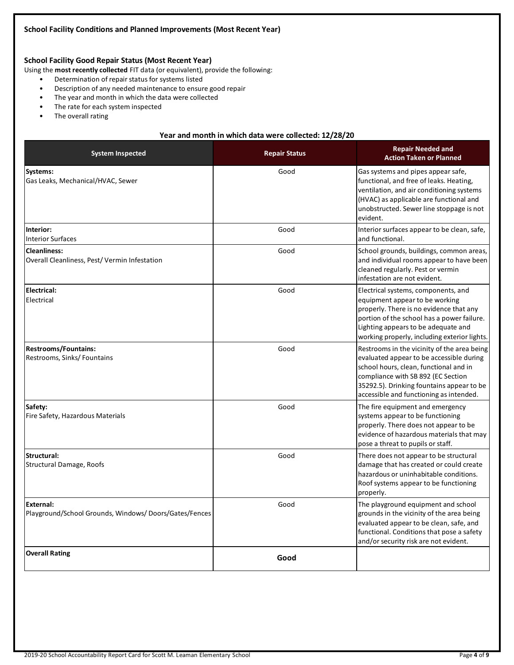# **School Facility Good Repair Status (Most Recent Year)**

Using the **most recently collected** FIT data (or equivalent), provide the following:

- Determination of repair status for systems listed
- Description of any needed maintenance to ensure good repair
- The year and month in which the data were collected
- The rate for each system inspected
- The overall rating

### **Year and month in which data were collected: 12/28/20**

| <b>System Inspected</b>                                             | <b>Repair Status</b> | <b>Repair Needed and</b><br><b>Action Taken or Planned</b>                                                                                                                                                                                                      |
|---------------------------------------------------------------------|----------------------|-----------------------------------------------------------------------------------------------------------------------------------------------------------------------------------------------------------------------------------------------------------------|
| Systems:<br>Gas Leaks, Mechanical/HVAC, Sewer                       | Good                 | Gas systems and pipes appear safe,<br>functional, and free of leaks. Heating,<br>ventilation, and air conditioning systems<br>(HVAC) as applicable are functional and<br>unobstructed. Sewer line stoppage is not<br>evident.                                   |
| Interior:<br><b>Interior Surfaces</b>                               | Good                 | Interior surfaces appear to be clean, safe,<br>and functional.                                                                                                                                                                                                  |
| <b>Cleanliness:</b><br>Overall Cleanliness, Pest/Vermin Infestation | Good                 | School grounds, buildings, common areas,<br>and individual rooms appear to have been<br>cleaned regularly. Pest or vermin<br>infestation are not evident.                                                                                                       |
| <b>Electrical:</b><br>Electrical                                    | Good                 | Electrical systems, components, and<br>equipment appear to be working<br>properly. There is no evidence that any<br>portion of the school has a power failure.<br>Lighting appears to be adequate and<br>working properly, including exterior lights.           |
| <b>Restrooms/Fountains:</b><br>Restrooms, Sinks/ Fountains          | Good                 | Restrooms in the vicinity of the area being<br>evaluated appear to be accessible during<br>school hours, clean, functional and in<br>compliance with SB 892 (EC Section<br>35292.5). Drinking fountains appear to be<br>accessible and functioning as intended. |
| Safety:<br>Fire Safety, Hazardous Materials                         | Good                 | The fire equipment and emergency<br>systems appear to be functioning<br>properly. There does not appear to be<br>evidence of hazardous materials that may<br>pose a threat to pupils or staff.                                                                  |
| Structural:<br>Structural Damage, Roofs                             | Good                 | There does not appear to be structural<br>damage that has created or could create<br>hazardous or uninhabitable conditions.<br>Roof systems appear to be functioning<br>properly.                                                                               |
| External:<br>Playground/School Grounds, Windows/Doors/Gates/Fences  | Good                 | The playground equipment and school<br>grounds in the vicinity of the area being<br>evaluated appear to be clean, safe, and<br>functional. Conditions that pose a safety<br>and/or security risk are not evident.                                               |
| <b>Overall Rating</b>                                               | Good                 |                                                                                                                                                                                                                                                                 |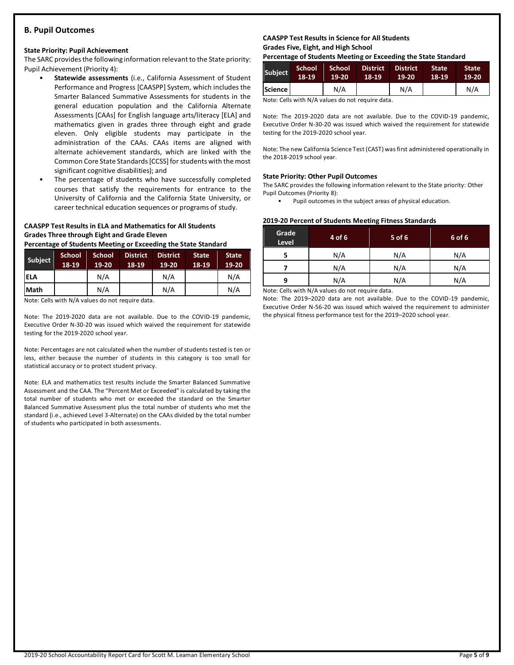### **B. Pupil Outcomes**

### **State Priority: Pupil Achievement**

The SARC provides the following information relevant to the State priority: Pupil Achievement (Priority 4):

- **Statewide assessments** (i.e., California Assessment of Student Performance and Progress [CAASPP] System, which includes the Smarter Balanced Summative Assessments for students in the general education population and the California Alternate Assessments [CAAs] for English language arts/literacy [ELA] and mathematics given in grades three through eight and grade eleven. Only eligible students may participate in the administration of the CAAs. CAAs items are aligned with alternate achievement standards, which are linked with the Common Core State Standards [CCSS] for students with the most significant cognitive disabilities); and
- The percentage of students who have successfully completed courses that satisfy the requirements for entrance to the University of California and the California State University, or career technical education sequences or programs of study.

# **CAASPP Test Results in ELA and Mathematics for All Students Grades Three through Eight and Grade Eleven**

**Percentage of Students Meeting or Exceeding the State Standard**

| <b>Subject</b> | <b>School</b><br>18-19 | <b>School</b><br>19-20 | <b>District</b><br>18-19 | <b>District</b><br>19-20 | <b>State</b><br>18-19 | <b>State</b><br>19-20 |
|----------------|------------------------|------------------------|--------------------------|--------------------------|-----------------------|-----------------------|
| <b>ELA</b>     |                        | N/A                    |                          | N/A                      |                       | N/A                   |
| Math           |                        | N/A                    |                          | N/A                      |                       | N/A                   |

Note: Cells with N/A values do not require data.

Note: The 2019-2020 data are not available. Due to the COVID-19 pandemic, Executive Order N-30-20 was issued which waived the requirement for statewide testing for the 2019-2020 school year.

Note: Percentages are not calculated when the number of students tested is ten or less, either because the number of students in this category is too small for statistical accuracy or to protect student privacy.

Note: ELA and mathematics test results include the Smarter Balanced Summative Assessment and the CAA. The "Percent Met or Exceeded" is calculated by taking the total number of students who met or exceeded the standard on the Smarter Balanced Summative Assessment plus the total number of students who met the standard (i.e., achieved Level 3-Alternate) on the CAAs divided by the total number of students who participated in both assessments.

### **CAASPP Test Results in Science for All Students Grades Five, Eight, and High School**

**Percentage of Students Meeting or Exceeding the State Standard**

| <b>Subject</b> | 'School .<br>18-19 | School<br>$19-20$ | <b>District</b><br>$18-19$ | <b>District</b><br>$19-20$ | <b>State</b><br>18-19 | <b>State</b><br>19-20 |
|----------------|--------------------|-------------------|----------------------------|----------------------------|-----------------------|-----------------------|
| <b>Science</b> |                    | N/A               |                            | N/A                        |                       | N/A                   |

Note: Cells with N/A values do not require data.

Note: The 2019-2020 data are not available. Due to the COVID-19 pandemic, Executive Order N-30-20 was issued which waived the requirement for statewide testing for the 2019-2020 school year.

Note: The new California Science Test (CAST) was first administered operationally in the 2018-2019 school year.

### **State Priority: Other Pupil Outcomes**

The SARC provides the following information relevant to the State priority: Other Pupil Outcomes (Priority 8):

Pupil outcomes in the subject areas of physical education.

### **2019-20 Percent of Students Meeting Fitness Standards**

| Grade<br>Level | 4 of 6 | $5$ of 6 | 6 of 6 |
|----------------|--------|----------|--------|
|                | N/A    | N/A      | N/A    |
| N/A            |        | N/A      | N/A    |
| q              | N/A    |          | N/A    |

Note: Cells with N/A values do not require data.

Note: The 2019–2020 data are not available. Due to the COVID-19 pandemic, Executive Order N-56-20 was issued which waived the requirement to administer the physical fitness performance test for the 2019–2020 school year.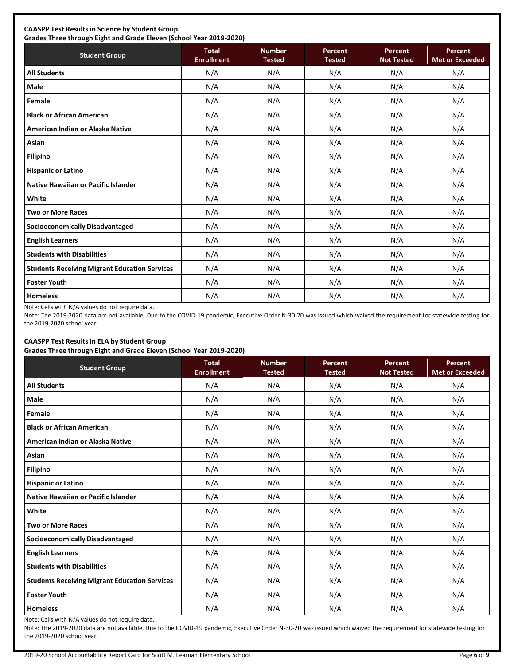# **CAASPP Test Results in Science by Student Group**

**Grades Three through Eight and Grade Eleven (School Year 2019-2020) Student Group Total Total Enrollment Number Tested Percent Tested Percent Not Tested Percent Met or Exceeded All Students** N/A N/A N/A N/A N/A **Male** N/A N/A N/A N/A N/A **Female** N/A N/A N/A N/A N/A **Black or African American** N/A N/A N/A N/A N/A **American Indian or Alaska Native** N/A N/A N/A N/A N/A **Asian** N/A N/A N/A N/A N/A **Filipino** N/A N/A N/A N/A N/A **Hispanic or Latino N/A N/A N/A N/A** N/A **Native Hawaiian or Pacific Islander**  $\begin{vmatrix} N/A & N/A & N/A & N/A \end{vmatrix}$  N/A N/A N/A N/A **White** N/A N/A N/A N/A N/A **Two or More Races** N/A N/A N/A N/A N/A **Socioeconomically Disadvantaged** N/A N/A N/A N/A N/A **English Learners** N/A N/A N/A N/A N/A **Students with Disabilities** N/A N/A N/A N/A N/A **Students Receiving Migrant Education Services | N/A | N/A | N/A | N/A | N/A | N/A Foster Youth** N/A N/A N/A N/A N/A **Homeless** N/A N/A N/A N/A N/A

Note: Cells with N/A values do not require data.

Note: The 2019-2020 data are not available. Due to the COVID-19 pandemic, Executive Order N-30-20 was issued which waived the requirement for statewide testing for the 2019-2020 school year.

# **CAASPP Test Results in ELA by Student Group**

**Grades Three through Eight and Grade Eleven (School Year 2019-2020)**

| <b>Student Group</b>                                 | <b>Total</b><br><b>Enrollment</b> | <b>Number</b><br><b>Tested</b> | Percent<br><b>Tested</b> | Percent<br><b>Not Tested</b> | Percent<br><b>Met or Exceeded</b> |
|------------------------------------------------------|-----------------------------------|--------------------------------|--------------------------|------------------------------|-----------------------------------|
| <b>All Students</b>                                  | N/A                               | N/A                            | N/A                      | N/A                          | N/A                               |
| Male                                                 | N/A                               | N/A                            | N/A                      | N/A                          | N/A                               |
| Female                                               | N/A                               | N/A                            | N/A                      | N/A                          | N/A                               |
| <b>Black or African American</b>                     | N/A                               | N/A                            | N/A                      | N/A                          | N/A                               |
| American Indian or Alaska Native                     | N/A                               | N/A                            | N/A                      | N/A                          | N/A                               |
| Asian                                                | N/A                               | N/A                            | N/A                      | N/A                          | N/A                               |
| <b>Filipino</b>                                      | N/A                               | N/A                            | N/A                      | N/A                          | N/A                               |
| <b>Hispanic or Latino</b>                            | N/A                               | N/A                            | N/A                      | N/A                          | N/A                               |
| <b>Native Hawaiian or Pacific Islander</b>           | N/A                               | N/A                            | N/A                      | N/A                          | N/A                               |
| White                                                | N/A                               | N/A                            | N/A                      | N/A                          | N/A                               |
| <b>Two or More Races</b>                             | N/A                               | N/A                            | N/A                      | N/A                          | N/A                               |
| <b>Socioeconomically Disadvantaged</b>               | N/A                               | N/A                            | N/A                      | N/A                          | N/A                               |
| <b>English Learners</b>                              | N/A                               | N/A                            | N/A                      | N/A                          | N/A                               |
| <b>Students with Disabilities</b>                    | N/A                               | N/A                            | N/A                      | N/A                          | N/A                               |
| <b>Students Receiving Migrant Education Services</b> | N/A                               | N/A                            | N/A                      | N/A                          | N/A                               |
| <b>Foster Youth</b>                                  | N/A                               | N/A                            | N/A                      | N/A                          | N/A                               |
| <b>Homeless</b>                                      | N/A                               | N/A                            | N/A                      | N/A                          | N/A                               |

Note: Cells with N/A values do not require data.

Note: The 2019-2020 data are not available. Due to the COVID-19 pandemic, Executive Order N-30-20 was issued which waived the requirement for statewide testing for the 2019-2020 school year.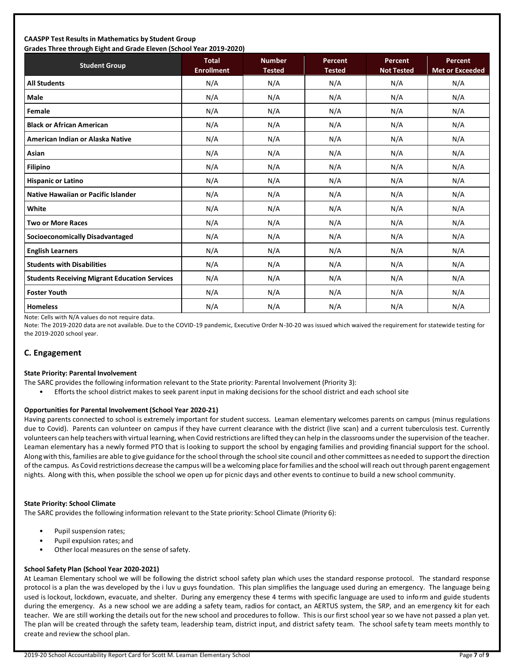### **CAASPP Test Results in Mathematics by Student Group Grades Three through Eight and Grade Eleven (School Year 2019-2020)**

| Grades Trifee through Eight and Grade Eleven (Schoor fear 2015-2020)<br><b>Student Group</b> | <b>Total</b>      | <b>Number</b> | Percent       | Percent           | <b>Percent</b>         |
|----------------------------------------------------------------------------------------------|-------------------|---------------|---------------|-------------------|------------------------|
|                                                                                              | <b>Enrollment</b> | <b>Tested</b> | <b>Tested</b> | <b>Not Tested</b> | <b>Met or Exceeded</b> |
| <b>All Students</b>                                                                          | N/A               | N/A           | N/A           | N/A               | N/A                    |
| <b>Male</b>                                                                                  | N/A               | N/A           | N/A           | N/A               | N/A                    |
| Female                                                                                       | N/A               | N/A           | N/A           | N/A               | N/A                    |
| <b>Black or African American</b>                                                             | N/A               | N/A           | N/A           | N/A               | N/A                    |
| American Indian or Alaska Native                                                             | N/A               | N/A           | N/A           | N/A               | N/A                    |
| Asian                                                                                        | N/A               | N/A           | N/A           | N/A               | N/A                    |
| <b>Filipino</b>                                                                              | N/A               | N/A           | N/A           | N/A               | N/A                    |
| <b>Hispanic or Latino</b>                                                                    | N/A               | N/A           | N/A           | N/A               | N/A                    |
| <b>Native Hawaiian or Pacific Islander</b>                                                   | N/A               | N/A           | N/A           | N/A               | N/A                    |
| White                                                                                        | N/A               | N/A           | N/A           | N/A               | N/A                    |
| <b>Two or More Races</b>                                                                     | N/A               | N/A           | N/A           | N/A               | N/A                    |
| <b>Socioeconomically Disadvantaged</b>                                                       | N/A               | N/A           | N/A           | N/A               | N/A                    |
| <b>English Learners</b>                                                                      | N/A               | N/A           | N/A           | N/A               | N/A                    |
| <b>Students with Disabilities</b>                                                            | N/A               | N/A           | N/A           | N/A               | N/A                    |
| <b>Students Receiving Migrant Education Services</b>                                         | N/A               | N/A           | N/A           | N/A               | N/A                    |
| <b>Foster Youth</b>                                                                          | N/A               | N/A           | N/A           | N/A               | N/A                    |
| <b>Homeless</b>                                                                              | N/A               | N/A           | N/A           | N/A               | N/A                    |

Note: Cells with N/A values do not require data.

Note: The 2019-2020 data are not available. Due to the COVID-19 pandemic, Executive Order N-30-20 was issued which waived the requirement for statewide testing for the 2019-2020 school year.

### **C. Engagement**

### **State Priority: Parental Involvement**

- The SARC provides the following information relevant to the State priority: Parental Involvement (Priority 3):
	- Efforts the school district makes to seek parent input in making decisions for the school district and each school site

### **Opportunities for Parental Involvement (School Year 2020-21)**

Having parents connected to school is extremely important for student success. Leaman elementary welcomes parents on campus (minus regulations due to Covid). Parents can volunteer on campus if they have current clearance with the district (live scan) and a current tuberculosis test. Currently volunteers can help teachers with virtual learning, when Covid restrictions are lifted they can help in the classrooms under the supervision of the teacher. Leaman elementary has a newly formed PTO that is looking to support the school by engaging families and providing financial support for the school. Along with this, families are able to give guidance for the school through the school site council and other committees as needed to support the direction ofthe campus. As Covid restrictions decrease the campus will be a welcoming place for families and the school will reach out through parent engagement nights. Along with this, when possible the school we open up for picnic days and other events to continue to build a new school community.

### **State Priority: School Climate**

The SARC provides the following information relevant to the State priority: School Climate (Priority 6):

- Pupil suspension rates;
- Pupil expulsion rates; and
- Other local measures on the sense of safety.

### **School Safety Plan (School Year 2020-2021)**

At Leaman Elementary school we will be following the district school safety plan which uses the standard response protocol. The standard response protocol is a plan the was developed by the i luv u guys foundation. This plan simplifies the language used during an emergency. The language being used is lockout, lockdown, evacuate, and shelter. During any emergency these 4 terms with specific language are used to inform and guide students during the emergency. As a new school we are adding a safety team, radios for contact, an AERTUS system, the SRP, and an emergency kit for each teacher. We are still working the details out for the new school and procedures to follow. This is our first school year so we have not passed a plan yet. The plan will be created through the safety team, leadership team, district input, and district safety team. The school safety team meets monthly to create and review the school plan.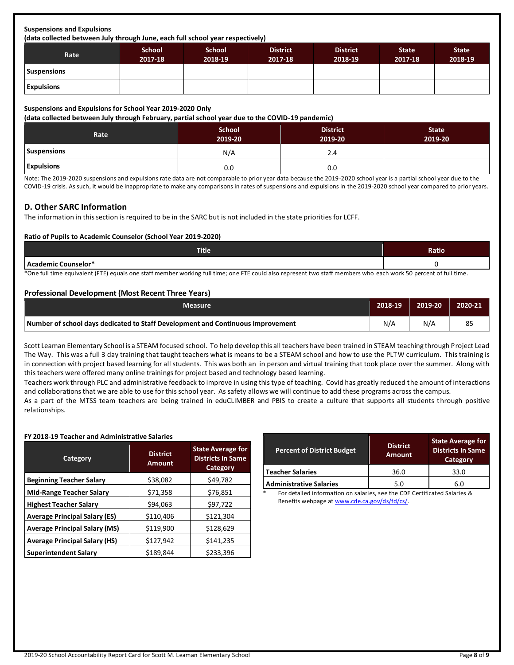### **Suspensions and Expulsions**

**(data collected between July through June, each full school year respectively)**

| Rate               | <b>School</b><br>2017-18 | <b>School</b><br>2018-19 | <b>District</b><br>2017-18 | <b>District</b><br>2018-19 | <b>State</b><br>2017-18 | <b>State</b><br>2018-19 |
|--------------------|--------------------------|--------------------------|----------------------------|----------------------------|-------------------------|-------------------------|
| <b>Suspensions</b> |                          |                          |                            |                            |                         |                         |
| <b>Expulsions</b>  |                          |                          |                            |                            |                         |                         |

### **Suspensions and Expulsions for School Year 2019-2020 Only**

**(data collected between July through February, partial school year due to the COVID-19 pandemic)**

| Rate              | <b>School</b><br>2019-20 | <b>District</b><br>2019-20 | <b>State</b><br>2019-20 |
|-------------------|--------------------------|----------------------------|-------------------------|
| Suspensions       | N/A                      | 2.4                        |                         |
| <b>Expulsions</b> | 0.0                      | 0.0                        |                         |

Note: The 2019-2020 suspensions and expulsions rate data are not comparable to prior year data because the 2019-2020 school year is a partial school year due to the COVID-19 crisis. As such, it would be inappropriate to make any comparisons in rates of suspensions and expulsions in the 2019-2020 school year compared to prior years.

### **D. Other SARC Information**

The information in this section is required to be in the SARC but is not included in the state priorities for LCFF.

### **Ratio of Pupils to Academic Counselor (School Year 2019-2020)**

| <b>Title</b>                                                                                                                                                     | Ratio |  |  |
|------------------------------------------------------------------------------------------------------------------------------------------------------------------|-------|--|--|
| Academic Counselor*                                                                                                                                              |       |  |  |
| *One full time equivalent (FTE) equals one staff member working full time; one FTE could also represent two staff members who each work 50 percent of full time. |       |  |  |

### **Professional Development (Most Recent Three Years)**

| <b>Measure</b>                                                                  | 2018-19 | 2019-20 | 2020-21 |
|---------------------------------------------------------------------------------|---------|---------|---------|
| Number of school days dedicated to Staff Development and Continuous Improvement | N/A     | N/A     | 85      |

Scott Leaman Elementary School is a STEAM focused school. To help develop this all teachers have been trained in STEAM teaching through Project Lead The Way. This was a full 3 day training that taught teachers what is means to be a STEAM school and how to use the PLTW curriculum. This training is in connection with project based learning for all students. This was both an in person and virtual training that took place over the summer. Along with this teachers were offered many online trainings for project based and technology based learning.

Teachers work through PLC and administrative feedback to improve in using this type of teaching. Covid has greatly reduced the amount of interactions and collaborations that we are able to use for this school year. As safety allows we will continue to add these programs across the campus.

As a part of the MTSS team teachers are being trained in eduCLIMBER and PBIS to create a culture that supports all students through positive relationships.

### **FY 2018-19 Teacher and Administrative Salaries**

| Category                             | <b>District</b><br><b>Amount</b> | <b>State Average for</b><br><b>Districts In Same</b><br><b>Category</b> |  |
|--------------------------------------|----------------------------------|-------------------------------------------------------------------------|--|
| <b>Beginning Teacher Salary</b>      | \$38,082                         | \$49,782                                                                |  |
| <b>Mid-Range Teacher Salary</b>      | \$71,358                         | \$76,851                                                                |  |
| <b>Highest Teacher Salary</b>        | \$94,063                         | \$97,722                                                                |  |
| <b>Average Principal Salary (ES)</b> | \$110,406                        | \$121,304                                                               |  |
| <b>Average Principal Salary (MS)</b> | \$119,900                        | \$128,629                                                               |  |
| <b>Average Principal Salary (HS)</b> | \$127,942                        | \$141,235                                                               |  |
| <b>Superintendent Salary</b>         | \$189,844                        | \$233,396                                                               |  |

| <b>Percent of District Budget</b> | <b>District</b><br><b>Amount</b> | <b>State Average for</b><br><b>Districts In Same</b><br>Category |
|-----------------------------------|----------------------------------|------------------------------------------------------------------|
| <b>Teacher Salaries</b>           | 36.0                             | 33.0                                                             |
| <b>Administrative Salaries</b>    | 5.0                              | 6.0                                                              |

For detailed information on salaries, see the CDE Certificated Salaries & Benefits webpage a[t www.cde.ca.gov/ds/fd/cs/.](http://www.cde.ca.gov/ds/fd/cs/)